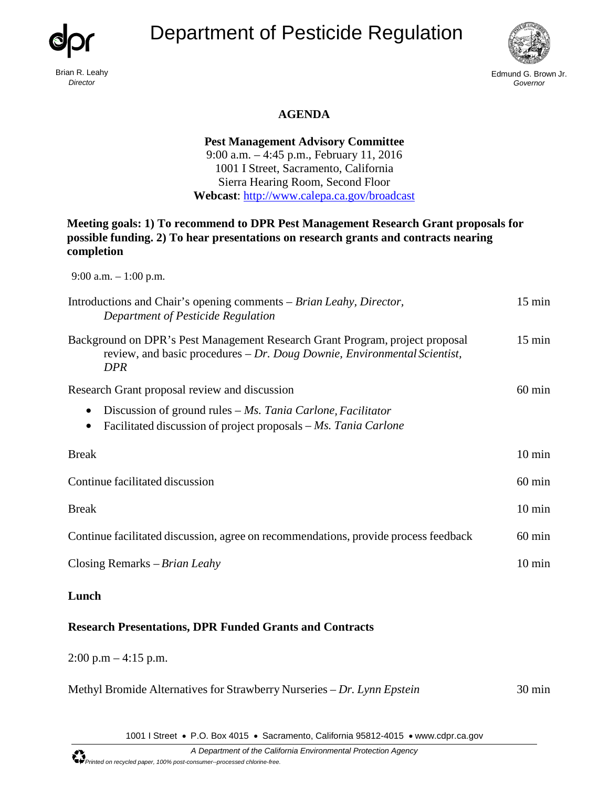





Edmund G. Brown Jr. *Governor*

## **AGENDA**

**Pest Management Advisory Committee**  9:00 a.m. – 4:45 p.m., February 11, 2016 1001 I Street, Sacramento, California Sierra Hearing Room, Second Floor **Webcast**:<http://www.calepa.ca.gov/broadcast>

## **Meeting goals: 1) To recommend to DPR Pest Management Research Grant proposals for possible funding. 2) To hear presentations on research grants and contracts nearing completion**

9:00 a.m. – 1:00 p.m.

| Introductions and Chair's opening comments – Brian Leahy, Director,<br>Department of Pesticide Regulation                                                       | $15 \text{ min}$ |
|-----------------------------------------------------------------------------------------------------------------------------------------------------------------|------------------|
| Background on DPR's Pest Management Research Grant Program, project proposal<br>review, and basic procedures – Dr. Doug Downie, Environmental Scientist,<br>DPR | $15 \text{ min}$ |
| Research Grant proposal review and discussion                                                                                                                   | $60 \text{ min}$ |
| Discussion of ground rules $-Ms$ . Tania Carlone, Facilitator<br>$\bullet$<br>Facilitated discussion of project proposals – Ms. Tania Carlone<br>٠              |                  |
| <b>Break</b>                                                                                                                                                    | $10 \text{ min}$ |
| Continue facilitated discussion                                                                                                                                 | $60 \text{ min}$ |
| <b>Break</b>                                                                                                                                                    | $10 \text{ min}$ |
| Continue facilitated discussion, agree on recommendations, provide process feedback                                                                             | $60 \text{ min}$ |
| Closing Remarks – Brian Leahy                                                                                                                                   | $10 \text{ min}$ |

## **Lunch**

## **Research Presentations, DPR Funded Grants and Contracts**

 $2:00$  p.m  $-4:15$  p.m.

| Methyl Bromide Alternatives for Strawberry Nurseries – Dr. Lynn Epstein | $30 \text{ min}$ |
|-------------------------------------------------------------------------|------------------|
|-------------------------------------------------------------------------|------------------|

1001 I Street • P.O. Box 4015 • Sacramento, California 95812-4015 • [www.cdpr.ca.gov](http://www.cdpr.ca.gov/)